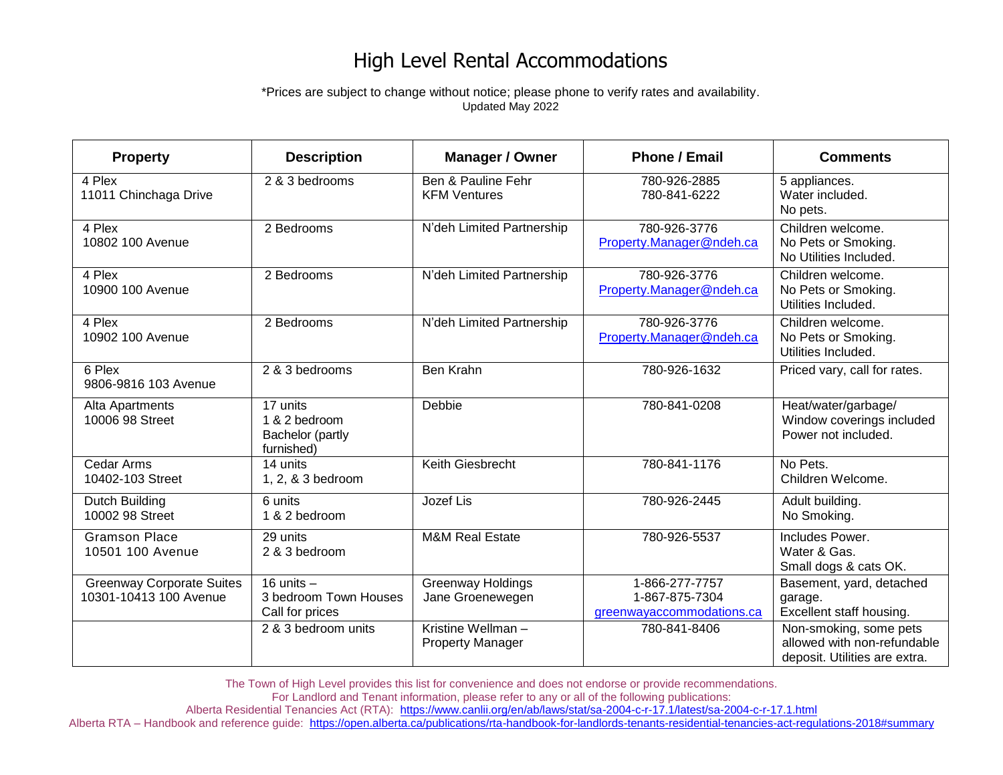## High Level Rental Accommodations

\*Prices are subject to change without notice; please phone to verify rates and availability. Updated May 2022

| <b>Property</b>                                            | <b>Description</b>                                          | Manager / Owner                              | <b>Phone / Email</b>                                          | <b>Comments</b>                                                                        |
|------------------------------------------------------------|-------------------------------------------------------------|----------------------------------------------|---------------------------------------------------------------|----------------------------------------------------------------------------------------|
| 4 Plex<br>11011 Chinchaga Drive                            | 2 & 3 bedrooms                                              | Ben & Pauline Fehr<br><b>KFM Ventures</b>    | 780-926-2885<br>780-841-6222                                  | 5 appliances.<br>Water included.<br>No pets.                                           |
| 4 Plex<br>10802 100 Avenue                                 | 2 Bedrooms                                                  | N'deh Limited Partnership                    | 780-926-3776<br>Property.Manager@ndeh.ca                      | Children welcome.<br>No Pets or Smoking.<br>No Utilities Included.                     |
| 4 Plex<br>10900 100 Avenue                                 | 2 Bedrooms                                                  | N'deh Limited Partnership                    | 780-926-3776<br>Property.Manager@ndeh.ca                      | Children welcome.<br>No Pets or Smoking.<br>Utilities Included.                        |
| 4 Plex<br>10902 100 Avenue                                 | 2 Bedrooms                                                  | N'deh Limited Partnership                    | 780-926-3776<br>Property.Manager@ndeh.ca                      | Children welcome.<br>No Pets or Smoking.<br>Utilities Included.                        |
| 6 Plex<br>9806-9816 103 Avenue                             | 2 & 3 bedrooms                                              | Ben Krahn                                    | 780-926-1632                                                  | Priced vary, call for rates.                                                           |
| Alta Apartments<br>10006 98 Street                         | 17 units<br>1 & 2 bedroom<br>Bachelor (partly<br>furnished) | Debbie                                       | 780-841-0208                                                  | Heat/water/garbage/<br>Window coverings included<br>Power not included.                |
| <b>Cedar Arms</b><br>10402-103 Street                      | 14 units<br>1, 2, & 3 bedroom                               | Keith Giesbrecht                             | 780-841-1176                                                  | No Pets.<br>Children Welcome.                                                          |
| Dutch Building<br>10002 98 Street                          | 6 units<br>1 & 2 bedroom                                    | Jozef Lis                                    | 780-926-2445                                                  | Adult building.<br>No Smoking.                                                         |
| <b>Gramson Place</b><br>10501 100 Avenue                   | 29 units<br>2 & 3 bedroom                                   | <b>M&amp;M Real Estate</b>                   | 780-926-5537                                                  | Includes Power.<br>Water & Gas.<br>Small dogs & cats OK.                               |
| <b>Greenway Corporate Suites</b><br>10301-10413 100 Avenue | 16 units $-$<br>3 bedroom Town Houses<br>Call for prices    | <b>Greenway Holdings</b><br>Jane Groenewegen | 1-866-277-7757<br>1-867-875-7304<br>greenwayaccommodations.ca | Basement, yard, detached<br>garage.<br>Excellent staff housing.                        |
|                                                            | 2 & 3 bedroom units                                         | Kristine Wellman-<br><b>Property Manager</b> | 780-841-8406                                                  | Non-smoking, some pets<br>allowed with non-refundable<br>deposit. Utilities are extra. |

The Town of High Level provides this list for convenience and does not endorse or provide recommendations.

For Landlord and Tenant information, please refer to any or all of the following publications:

Alberta Residential Tenancies Act (RTA): <https://www.canlii.org/en/ab/laws/stat/sa-2004-c-r-17.1/latest/sa-2004-c-r-17.1.html>

Alberta RTA – Handbook and reference guide:<https://open.alberta.ca/publications/rta-handbook-for-landlords-tenants-residential-tenancies-act-regulations-2018#summary>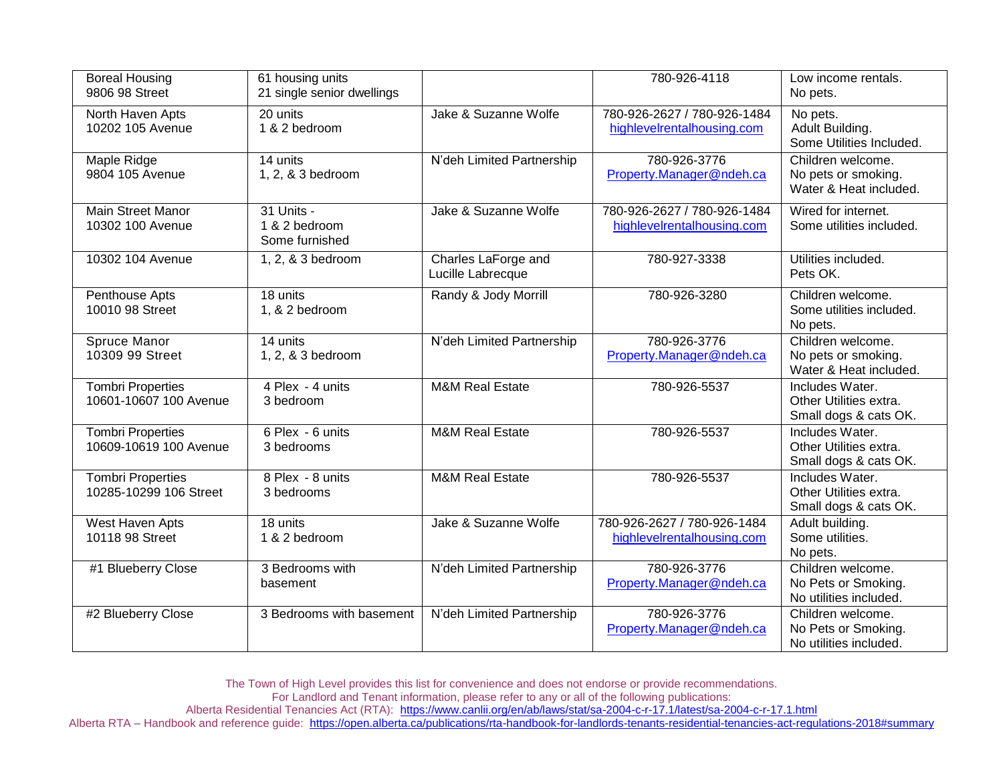| <b>Boreal Housing</b><br>9806 98 Street            | 61 housing units<br>21 single senior dwellings |                                          | 780-926-4118                                              | Low income rentals.<br>No pets.                                    |
|----------------------------------------------------|------------------------------------------------|------------------------------------------|-----------------------------------------------------------|--------------------------------------------------------------------|
| North Haven Apts<br>10202 105 Avenue               | 20 units<br>1 & 2 bedroom                      | Jake & Suzanne Wolfe                     | 780-926-2627 / 780-926-1484<br>highlevelrentalhousing.com | No pets.<br>Adult Building.<br>Some Utilities Included.            |
| Maple Ridge<br>9804 105 Avenue                     | 14 units<br>1, 2, & 3 bedroom                  | N'deh Limited Partnership                | 780-926-3776<br>Property.Manager@ndeh.ca                  | Children welcome.<br>No pets or smoking.<br>Water & Heat included. |
| Main Street Manor<br>10302 100 Avenue              | 31 Units -<br>1 & 2 bedroom<br>Some furnished  | Jake & Suzanne Wolfe                     | 780-926-2627 / 780-926-1484<br>highlevelrentalhousing.com | Wired for internet.<br>Some utilities included.                    |
| 10302 104 Avenue                                   | 1, 2, & 3 bedroom                              | Charles LaForge and<br>Lucille Labrecque | 780-927-3338                                              | Utilities included.<br>Pets OK.                                    |
| Penthouse Apts<br>10010 98 Street                  | 18 units<br>1, & 2 bedroom                     | Randy & Jody Morrill                     | 780-926-3280                                              | Children welcome.<br>Some utilities included.<br>No pets.          |
| Spruce Manor<br>10309 99 Street                    | 14 units<br>1, 2, & 3 bedroom                  | N'deh Limited Partnership                | 780-926-3776<br>Property.Manager@ndeh.ca                  | Children welcome.<br>No pets or smoking.<br>Water & Heat included. |
| <b>Tombri Properties</b><br>10601-10607 100 Avenue | 4 Plex - 4 units<br>3 bedroom                  | <b>M&amp;M Real Estate</b>               | 780-926-5537                                              | Includes Water.<br>Other Utilities extra.<br>Small dogs & cats OK. |
| <b>Tombri Properties</b><br>10609-10619 100 Avenue | 6 Plex - 6 units<br>3 bedrooms                 | <b>M&amp;M Real Estate</b>               | 780-926-5537                                              | Includes Water.<br>Other Utilities extra.<br>Small dogs & cats OK. |
| <b>Tombri Properties</b><br>10285-10299 106 Street | 8 Plex - 8 units<br>3 bedrooms                 | <b>M&amp;M Real Estate</b>               | 780-926-5537                                              | Includes Water.<br>Other Utilities extra.<br>Small dogs & cats OK. |
| West Haven Apts<br>10118 98 Street                 | 18 units<br>1 & 2 bedroom                      | Jake & Suzanne Wolfe                     | 780-926-2627 / 780-926-1484<br>highlevelrentalhousing.com | Adult building.<br>Some utilities.<br>No pets.                     |
| #1 Blueberry Close                                 | 3 Bedrooms with<br>basement                    | N'deh Limited Partnership                | 780-926-3776<br>Property.Manager@ndeh.ca                  | Children welcome.<br>No Pets or Smoking.<br>No utilities included. |
| #2 Blueberry Close                                 | 3 Bedrooms with basement                       | N'deh Limited Partnership                | 780-926-3776<br>Property.Manager@ndeh.ca                  | Children welcome.<br>No Pets or Smoking.<br>No utilities included. |

The Town of High Level provides this list for convenience and does not endorse or provide recommendations.

For Landlord and Tenant information, please refer to any or all of the following publications:

Alberta Residential Tenancies Act (RTA): <https://www.canlii.org/en/ab/laws/stat/sa-2004-c-r-17.1/latest/sa-2004-c-r-17.1.html>

Alberta RTA – Handbook and reference guide:<https://open.alberta.ca/publications/rta-handbook-for-landlords-tenants-residential-tenancies-act-regulations-2018#summary>